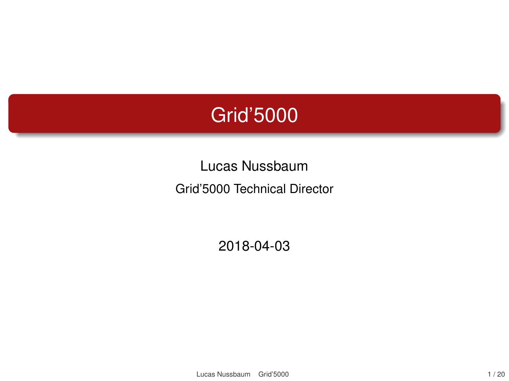#### <span id="page-0-0"></span>Grid'5000

Lucas Nussbaum Grid'5000 Technical Director

2018-04-03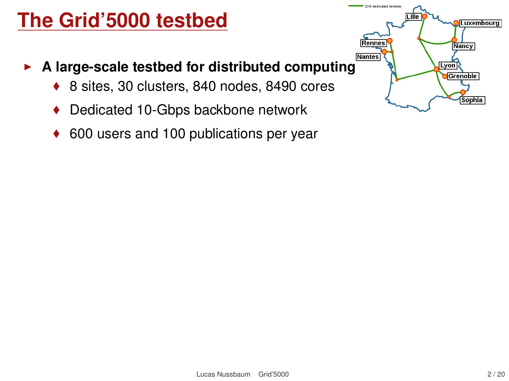#### **The Grid'5000 testbed**

- **A large-scale testbed for distributed computing** 
	- 8 sites, 30 clusters, 840 nodes, 8490 cores
	- ◆ Dedicated 10-Gbps backbone network
	- 600 users and 100 publications per year

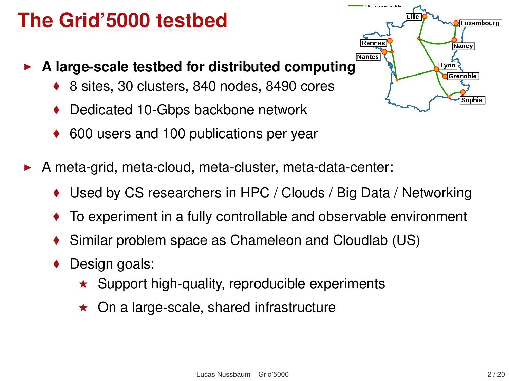#### **The Grid'5000 testbed**

- **Nantes A large-scale testbed for distributed computing** 
	- 8 sites, 30 clusters, 840 nodes, 8490 cores
	- Dedicated 10-Gbps backbone network
	- 600 users and 100 publications per year
- A meta-grid, meta-cloud, meta-cluster, meta-data-center:
	- ◆ Used by CS researchers in HPC / Clouds / Big Data / Networking

1200 Hostingson Inc.

- To experiment in a fully controllable and observable environment
- Similar problem space as Chameleon and Cloudlab (US)
- Design goals:
	- $\star$  Support high-quality, reproducible experiments
	- $\star$  On a large-scale, shared infrastructure

**Luxembourg** 

Nancy

Lyon Grenoble Sophia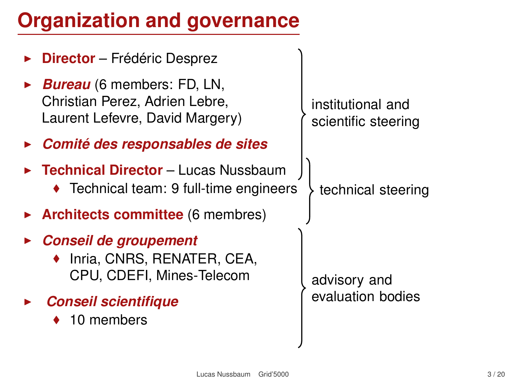# **Organization and governance**

| <b>Director</b> – Frédéric Desprez                                                              |                                          |
|-------------------------------------------------------------------------------------------------|------------------------------------------|
| Bureau (6 members: FD, LN,<br>Christian Perez, Adrien Lebre,<br>Laurent Lefevre, David Margery) | institutional and<br>scientific steering |
| Comité des responsables de sites                                                                |                                          |
| <b>Technical Director - Lucas Nussbaum</b><br>◆ Technical team: 9 full-time engineers           | technical steering                       |
| $\triangleright$ Architects committee (6 membres)                                               |                                          |
| <b>Conseil de groupement</b><br>◆ Inria, CNRS, RENATER, CEA,<br>CPU, CDEFI, Mines-Telecom       | advisory and                             |
| <b>Conseil scientifique</b><br>10 members                                                       | evaluation bodies                        |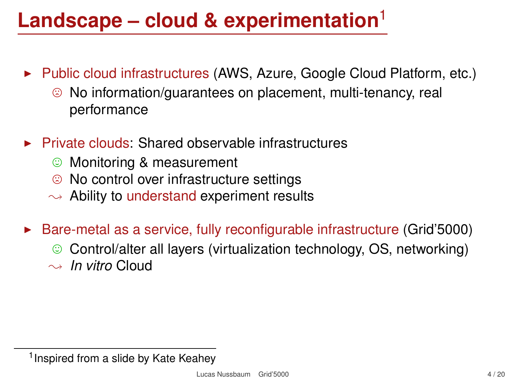# **Landscape – cloud & experimentation**<sup>1</sup>

- $\blacktriangleright$  Public cloud infrastructures (AWS, Azure, Google Cloud Platform, etc.)
	- $\odot$  No information/guarantees on placement, multi-tenancy, real performance
- <sup>I</sup> Private clouds: Shared observable infrastructures
	- **C** Monitoring & measurement<br> **C** No control over infrastructure
	- / No control over infrastructure settings
	- $\rightarrow$  Ability to understand experiment results
- $\blacktriangleright$  Bare-metal as a service, fully reconfigurable infrastructure (Grid'5000)
	- $\odot$  Control/alter all layers (virtualization technology, OS, networking)
	- $\rightarrow$  *In vitro* Cloud

<sup>&</sup>lt;sup>1</sup> Inspired from a slide by Kate Keahey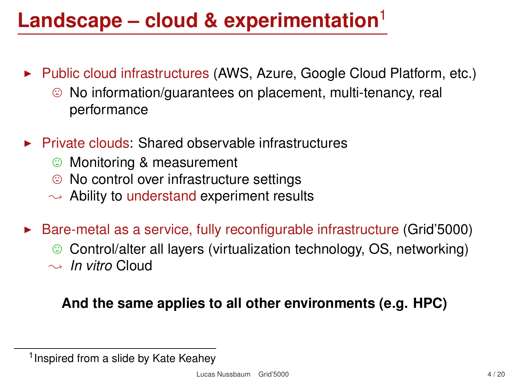# **Landscape – cloud & experimentation**<sup>1</sup>

- $\blacktriangleright$  Public cloud infrastructures (AWS, Azure, Google Cloud Platform, etc.)
	- $\odot$  No information/guarantees on placement, multi-tenancy, real performance
- $\blacktriangleright$  Private clouds: Shared observable infrastructures
	- **C** Monitoring & measurement<br> **C** No control over infrastructure
	- / No control over infrastructure settings
	- $\rightarrow$  Ability to understand experiment results
- $\blacktriangleright$  Bare-metal as a service, fully reconfigurable infrastructure (Grid'5000)
	- $\odot$  Control/alter all layers (virtualization technology, OS, networking)
	- $\rightarrow$  *In vitro* Cloud

#### **And the same applies to all other environments (e.g. HPC)**

<sup>&</sup>lt;sup>1</sup> Inspired from a slide by Kate Keahey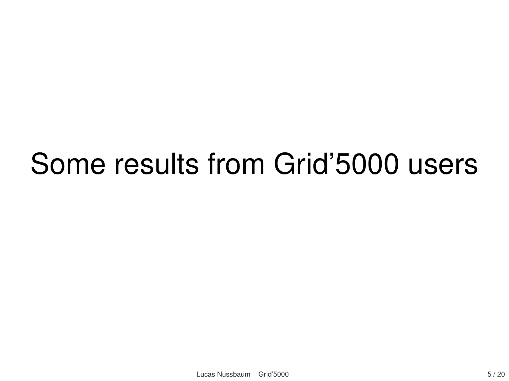# Some results from Grid'5000 users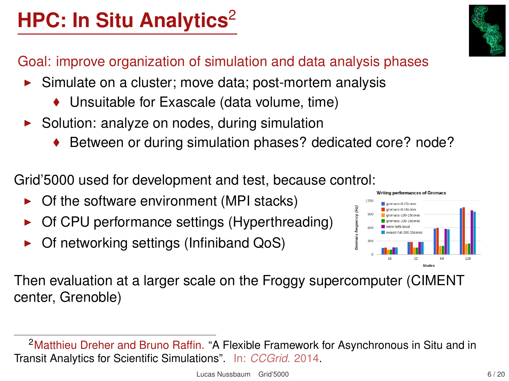# **HPC: In Situ Analytics<sup>2</sup>**

Goal: improve organization of simulation and data analysis phases

- $\triangleright$  Simulate on a cluster; move data; post-mortem analysis
	- ◆ Unsuitable for Exascale (data volume, time)
- $\triangleright$  Solution: analyze on nodes, during simulation
	- ◆ Between or during simulation phases? dedicated core? node?

Grid'5000 used for development and test, because control:

- $\triangleright$  Of the software environment (MPI stacks)
- $\triangleright$  Of CPU performance settings (Hyperthreading)
- Of networking settings (Infiniband QoS)



Then evaluation at a larger scale on the Froggy supercomputer (CIMENT center, Grenoble)

<sup>&</sup>lt;sup>2</sup>Matthieu Dreher and Bruno Raffin. "A Flexible Framework for Asynchronous in Situ and in Transit Analytics for Scientific Simulations". In: *CCGrid*. 2014.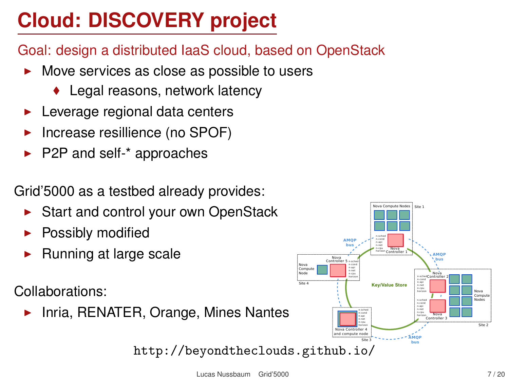# **Cloud: DISCOVERY project**

- Goal: design a distributed IaaS cloud, based on OpenStack
	- $\triangleright$  Move services as close as possible to users
		- ◆ Legal reasons, network latency
	- Leverage regional data centers
	- Increase resillience (no SPOF)
	- $\blacktriangleright$  P2P and self-\* approaches

Grid'5000 as a testbed already provides:

- $\triangleright$  Start and control your own OpenStack
- Possibly modified
- Running at large scale

Collaborations:

Inria, RENATER, Orange, Mines Nantes

<http://beyondtheclouds.github.io/>

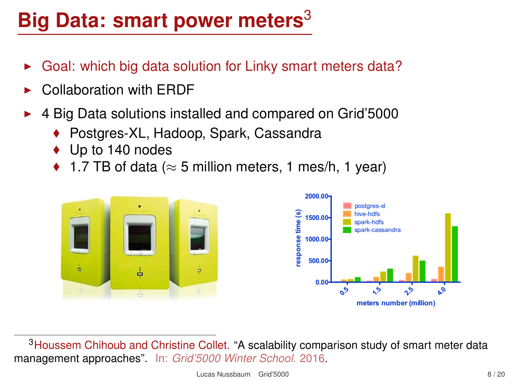# **Big Data: smart power meters**<sup>3</sup>

- Goal: which big data solution for Linky smart meters data?
- Collaboration with FRDF
- <sup>I</sup> 4 Big Data solutions installed and compared on Grid'5000
	- ◆ Postgres-XL, Hadoop, Spark, Cassandra
	- ◆ Up to 140 nodes
	- $\bullet$  1.7 TB of data ( $\approx$  5 million meters, 1 mes/h, 1 year)



<sup>3</sup>Houssem Chihoub and Christine Collet. "A scalability comparison study of smart meter data management approaches". In: *Grid'5000 Winter School*. 2016.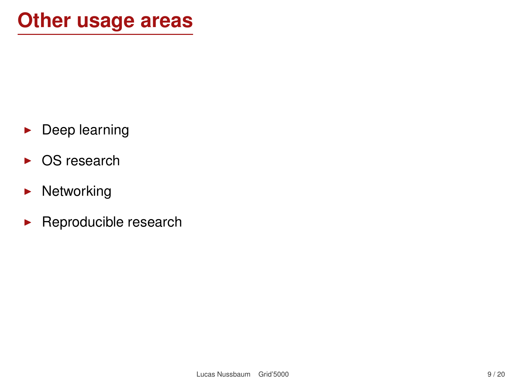- $\blacktriangleright$  Deep learning
- $\triangleright$  OS research
- $\blacktriangleright$  Networking
- $\blacktriangleright$  Reproducible research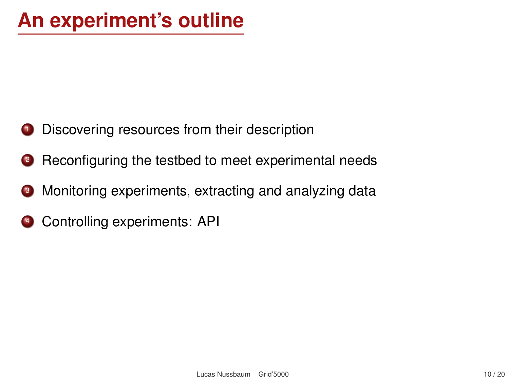- **1** Discovering resources from their description
- <sup>2</sup> Reconfiguring the testbed to meet experimental needs
- <sup>3</sup> Monitoring experiments, extracting and analyzing data
- **4** Controlling experiments: API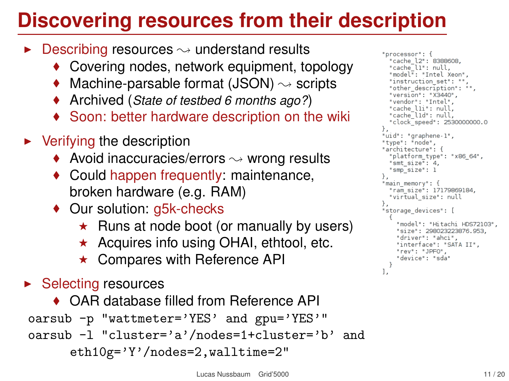### **Discovering resources from their description**

- $\triangleright$  Describing resources  $\rightsquigarrow$  understand results
	- ◆ Covering nodes, network equipment, topology
	- Machine-parsable format (JSON)  $\rightsquigarrow$  scripts
	- Archived (*State of testbed 6 months ago?*)
	- Soon: better hardware description on the wiki
- $\blacktriangleright$  Verifying the description
	- $\blacklozenge$  Avoid inaccuracies/errors  $\rightsquigarrow$  wrong results
	- Could happen frequently: maintenance, broken hardware (e.g. RAM)
	- ◆ Our solution: g5k-checks
		- $\star$  Runs at node boot (or manually by users)
		- $\star$  Acquires info using OHAI, ethtool, etc.
		- $\star$  Compares with Reference API
- $\blacktriangleright$  Selecting resources

```
◆ OAR database filled from Reference API
oarsub -p "wattmeter='YES' and gpu='YES'"
oarsub -l "cluster='a'/nodes=1+cluster='b' and
     eth10g='Y'/nodes=2,walltime=2"
```

```
"processor": {
  "cache l2": 8388608.
  "cache<sup>11"</sup>: null.
  "model": "Intel Xeon",
  "instruction set": "".
  "other description": "".
  "version": "X3440".
  "vendor": "Intel".
  "cache lii": null.
  "cache<sup>-</sup>lid": null.
  "clock speed": 2530000000.0
Ъ,
"uid": "graphene-1".
"tvpe": "node".
"architecture": {
  "platform type": "x86 64".
  "smt size": 4,
  "smp<sup>"</sup>size": 1
λ.
"main memory": {
  "ram size": 17179869184,
  "virtual size": null
},
"storage devices": [
    "model": "Hitachi HDS72103",
    "size": 298023223876.953
    "driver": "ahci".
    "interface": "SATA II".
    "rev": "JPF0",
    "device": "sda"
1.
```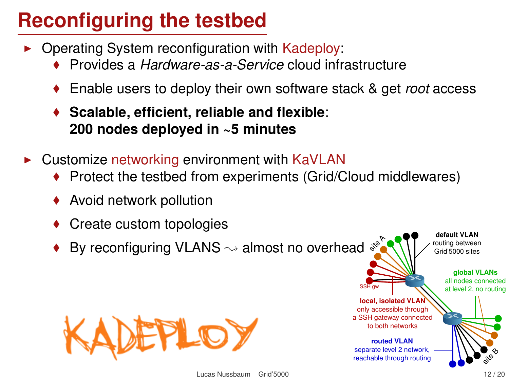# **Reconfiguring the testbed**

- $\triangleright$  Operating System reconfiguration with Kadeploy:
	- Provides a *Hardware-as-a-Service* cloud infrastructure
	- Enable users to deploy their own software stack & get *root* access
	- **Scalable, efficient, reliable and flexible**: **200 nodes deployed in ~5 minutes**
- $\triangleright$  Customize networking environment with KaVLAN
	- Protect the testbed from experiments (Grid/Cloud middlewares)
	- Avoid network pollution
	- Create custom topologies
	- site A By reconfiguring VLANS  $\rightsquigarrow$  almost no overhead



**default VLAN** routing between Grid'5000 sites

**local, isolated VLAI** only accessible through a SSH gateway connected to both networks **routed VLAN** separate level 2 network, reachable through routing

**global VLANs** all nodes connected at level 2, no routing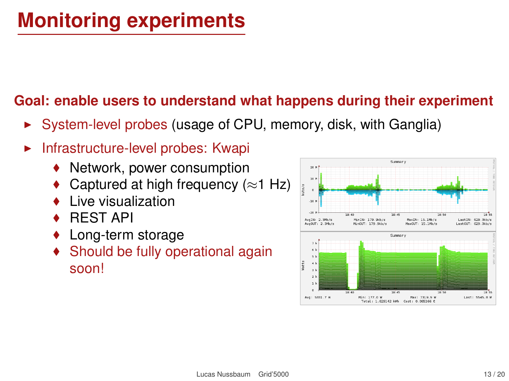# **Monitoring experiments**

#### **Goal: enable users to understand what happens during their experiment**

- $\triangleright$  System-level probes (usage of CPU, memory, disk, with Ganglia)
- Infrastructure-level probes: Kwapi
	- ◆ Network, power consumption
	- Captured at high frequency ( $\approx$ 1 Hz)
	- Live visualization
	- REST API
	- Long-term storage
	- ◆ Should be fully operational again soon!

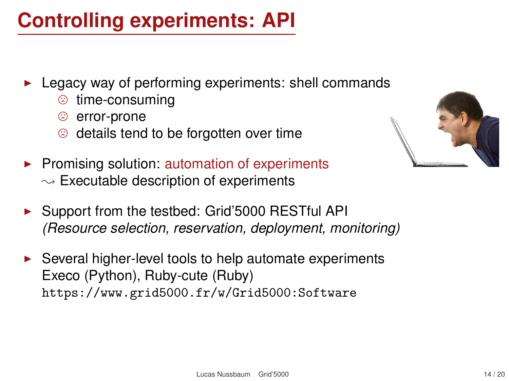#### **Controlling experiments: API**

- Legacy way of performing experiments: shell commands
	- **time-consuming**<br> **©** error-prone
	- <sup>◎</sup> error-prone<br>◎ details tend
	- details tend to be forgotten over time
- $\triangleright$  Promising solution: automation of experiments  $\sim$  Executable description of experiments
- ▶ Support from the testbed: Grid'5000 RESTful API *(Resource selection, reservation, deployment, monitoring)*
- <sup>I</sup> Several higher-level tools to help automate experiments Execo (Python), Ruby-cute (Ruby) <https://www.grid5000.fr/w/Grid5000:Software>

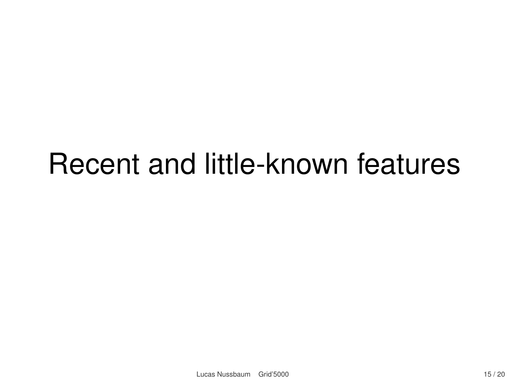# Recent and little-known features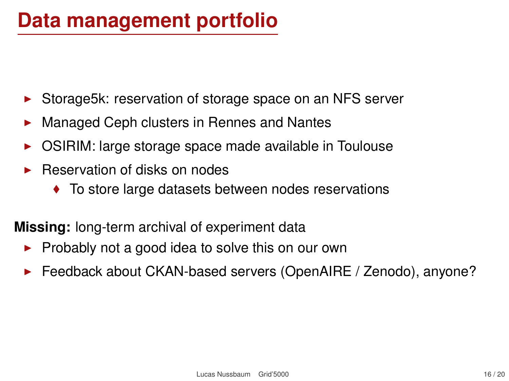#### **Data management portfolio**

- ▶ Storage5k: reservation of storage space on an NFS server
- $\triangleright$  Managed Ceph clusters in Rennes and Nantes
- $\triangleright$  OSIRIM: large storage space made available in Toulouse
- <sup>I</sup> Reservation of disks on nodes
	- ◆ To store large datasets between nodes reservations

**Missing:** long-term archival of experiment data

- $\triangleright$  Probably not a good idea to solve this on our own
- ► Feedback about CKAN-based servers (OpenAIRE / Zenodo), anyone?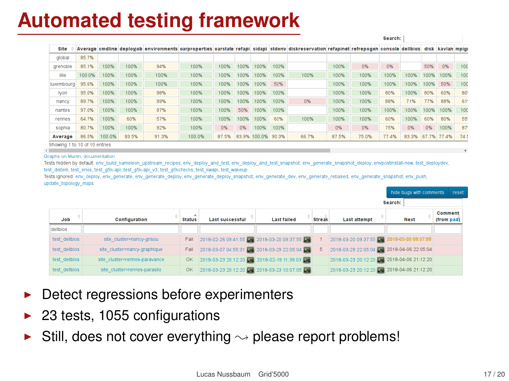#### **Automated testing framework**

|                                |        |        |       |       |        |       |      |              |       |                                                                                                                                                           |       |       | search: |       |      |             |      |
|--------------------------------|--------|--------|-------|-------|--------|-------|------|--------------|-------|-----------------------------------------------------------------------------------------------------------------------------------------------------------|-------|-------|---------|-------|------|-------------|------|
| Site                           |        |        |       |       |        |       |      |              |       | Average cmdline deployiob environments oarproperties oarstate refapi sidapi stdeny diskreservation refapinet refrepogen console delibios disk kavlan mpig |       |       |         |       |      |             |      |
| global                         | 85.7%  |        |       |       |        |       |      |              |       |                                                                                                                                                           |       |       |         |       |      |             |      |
| grenoble                       | 85.1%  | 100%   | 100%  | 94%   | 100%   | 100%  | 100% | 100%         | 100%  |                                                                                                                                                           | 100%  | 0%    | 0%      |       | 50%  | 0%          | 100  |
| lille                          | 100.0% | 100%   | 100%  | 100%  | 100%   | 100%  | 100% | 100%         | 100%  | 100%                                                                                                                                                      | 100%  | 100%  | 100%    | 100%  | 100% | 100%        | 100  |
| luxembourg                     | 95.6%  | 100%   | 100%  | 100%  | 100%   | 100%  | 100% | 100%         | 50%   |                                                                                                                                                           | 100%  | 100%  | 100%    | 100%  | 100% | 50%         | 100  |
| <b>Ivon</b>                    | 95.0%  | 100%   | 100%  | 98%   | 100%   | 100%  | 100% | 100%         | 100%  |                                                                                                                                                           | 100%  | 100%  | 80%     | 100%  | 80%  | 60%         | 80   |
| nancy                          | 89.7%  | 100%   | 100%  | 99%   | 100%   | 100%  | 100% | 100%         | 100%  | 0%                                                                                                                                                        | 100%  | 100%  | 88%     | 71%   | 77%  | 88%         | 61   |
| nantes                         | 97.0%  | 100%   | 100%  | 97%   | 100%   | 100%  | 50%  | 100%         | 100%  |                                                                                                                                                           | 100%  | 100%  | 100%    | 100%  | 100% | 100%        | 100  |
| rennes                         | 64.7%  | 100%   | 60%   | 57%   | 100%   | 100%  | 100% | 100%         | 60%   | 100%                                                                                                                                                      | 100%  | 100%  | 60%     | 100%  | 60%  | 80%         | 55   |
| sophia                         | 80.7%  | 100%   | 100%  | 92%   | 100%   | 0%    | 0%   | 100%         | 100%  |                                                                                                                                                           | 0%    | 0%    | 75%     | 0%    | 0%   | 100%        | 87   |
| Average                        | 86.5%  | 100.0% | 93.5% | 91.3% | 100.0% | 87.5% |      | 83.9% 100.0% | 90.3% | 66.7%                                                                                                                                                     | 87.5% | 75.0% | 77.4%   | 83.3% |      | 67.7% 77.4% | 74.5 |
| Chaujna 1 to 10 of 10 antriac. |        |        |       |       |        |       |      |              |       |                                                                                                                                                           |       |       |         |       |      |             |      |

 $\leftarrow$ 

hide buas with comments reset

Account 1

Graphs on Munin, documentation

Tests hidden by default; env. build kameleon, upstream, recipes, env. deploy and test, env. deploy, and test, snapshot, env. generate, snapshot, deploy, envpostinstall-new, test, deploydey, test distem, test enos, test g5k-api, test g5k-api v3, test g5kchecks, test kwapi, test wakeup

Tests ignored; env deploy, env generate, env generate deploy, env generate deploy snapshot, env generate dev, env generate rebased, env generate snapshot, env push, update\_topology\_maps

| search:       |                               |               |                                             |                    |               |                                           |             |                       |  |  |  |
|---------------|-------------------------------|---------------|---------------------------------------------|--------------------|---------------|-------------------------------------------|-------------|-----------------------|--|--|--|
| Job           | Configuration                 | <b>Status</b> | Last successful                             | <b>Last failed</b> | <b>Streak</b> | <b>Last attempt</b>                       | <b>Next</b> | Comment<br>(from pad) |  |  |  |
| dellbios      |                               |               |                                             |                    |               |                                           |             |                       |  |  |  |
| test dellbios | site cluster nancy grisou     | Fail          | 2018-02-26 09:41:55 2 2018-03-20 09:37:55   |                    |               | 2018-03-20 09:37:55 2 2018-03-20 09:37:55 |             |                       |  |  |  |
| test dellbios | site cluster=nancy-graphique  | Fall          | 2018-03-07 04:55:31 2018-03-29 22:05:04     |                    |               | 2018-03-29 22:05:04 2 2018-04-06 22:05:04 |             |                       |  |  |  |
| test dellbios | site cluster=rennes-paravance | <b>OK</b>     | 2018-03-23 20:12:20 2 2018-02-19 11:39:03 2 |                    |               | 2018-03-23 20:12:20 2 2018-04-06 21:12:20 |             |                       |  |  |  |
| test dellbios | site cluster=rennes-parasilo  | OK.           | 2018-03-23 20:12:20 2 2018-03-23 10:07:05   |                    |               | 2018-03-23 20:12:20 2 2018-04-06 21:12:20 |             |                       |  |  |  |

- Detect regressions before experimenters
- $\blacktriangleright$  23 tests, 1055 configurations
- $\triangleright$  Still, does not cover everything  $\rightsquigarrow$  please report problems!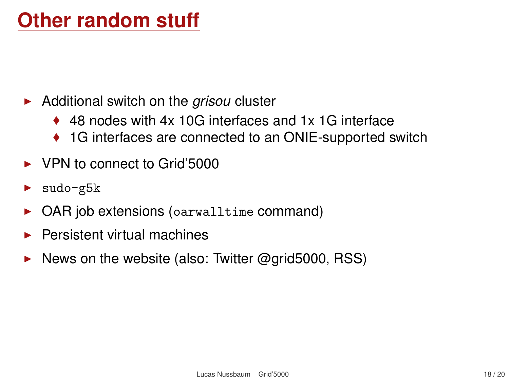#### **Other random stuff**

- ▶ Additional switch on the *grisou* cluster
	- ◆ 48 nodes with 4x 10G interfaces and 1x 1G interface
	- ◆ 1G interfaces are connected to an ONIE-supported switch
- $\blacktriangleright$  VPN to connect to Grid'5000
- sudo-g5k
- $\triangleright$  OAR job extensions (oarwalltime command)
- <sup>I</sup> Persistent virtual machines
- [News on the website](https://www.grid5000.fr/w/News) (also: Twitter @grid5000, RSS)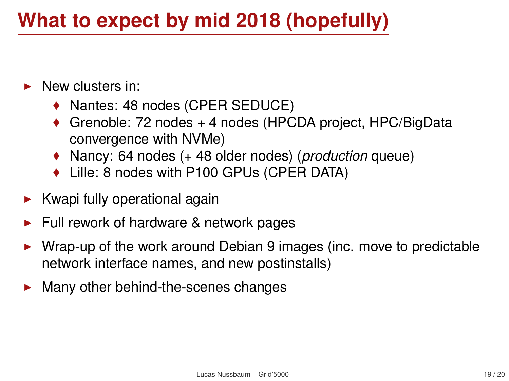#### **What to expect by mid 2018 (hopefully)**

- New clusters in:
	- ◆ Nantes: 48 nodes (CPER SEDUCE)
	- ◆ Grenoble: 72 nodes + 4 nodes (HPCDA project, HPC/BigData convergence with NVMe)
	- Nancy: 64 nodes (+ 48 older nodes) (*production* queue)
	- ◆ Lille: 8 nodes with P100 GPUs (CPER DATA)
- $\blacktriangleright$  Kwapi fully operational again
- <sup>I</sup> Full rework of hardware & network pages
- $\triangleright$  Wrap-up of the work around Debian 9 images (inc. move to predictable network interface names, and new postinstalls)
- Many other behind-the-scenes changes